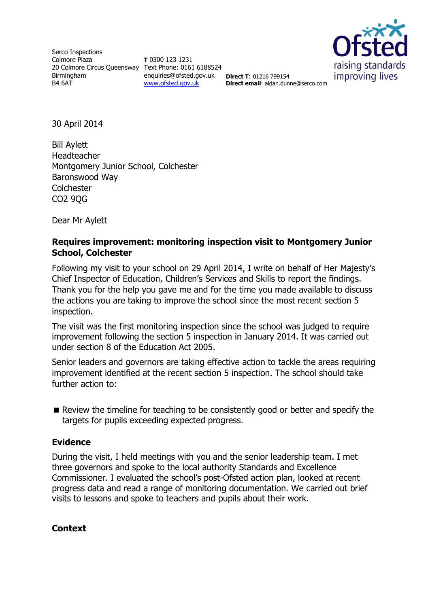Serco Inspections Colmore Plaza 20 Colmore Circus Queensway Text Phone: 0161 6188524 Birmingham B4 6AT

**T** 0300 123 1231 enquiries@ofsted.gov.uk **Direct T**: 01216 799154 [www.ofsted.gov.uk](http://www.ofsted.gov.uk/)



**Direct email**: aidan.dunne@serco.com

30 April 2014

Bill Aylett Headteacher Montgomery Junior School, Colchester Baronswood Way **Colchester** CO2 9QG

Dear Mr Aylett

### **Requires improvement: monitoring inspection visit to Montgomery Junior School, Colchester**

Following my visit to your school on 29 April 2014, I write on behalf of Her Majesty's Chief Inspector of Education, Children's Services and Skills to report the findings. Thank you for the help you gave me and for the time you made available to discuss the actions you are taking to improve the school since the most recent section 5 inspection.

The visit was the first monitoring inspection since the school was judged to require improvement following the section 5 inspection in January 2014. It was carried out under section 8 of the Education Act 2005.

Senior leaders and governors are taking effective action to tackle the areas requiring improvement identified at the recent section 5 inspection. The school should take further action to:

Review the timeline for teaching to be consistently good or better and specify the targets for pupils exceeding expected progress.

## **Evidence**

During the visit, I held meetings with you and the senior leadership team. I met three governors and spoke to the local authority Standards and Excellence Commissioner. I evaluated the school's post-Ofsted action plan, looked at recent progress data and read a range of monitoring documentation. We carried out brief visits to lessons and spoke to teachers and pupils about their work.

#### **Context**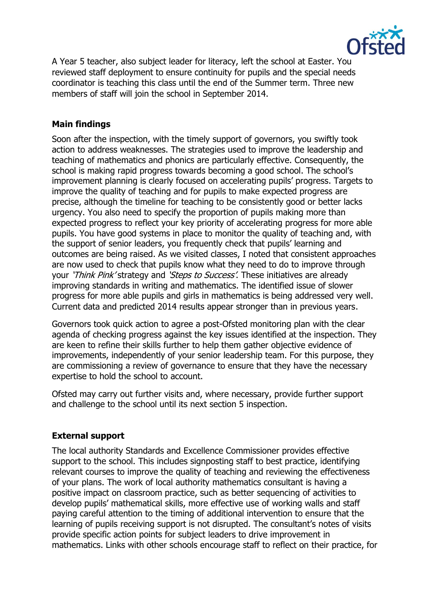

A Year 5 teacher, also subject leader for literacy, left the school at Easter. You reviewed staff deployment to ensure continuity for pupils and the special needs coordinator is teaching this class until the end of the Summer term. Three new members of staff will join the school in September 2014.

# **Main findings**

Soon after the inspection, with the timely support of governors, you swiftly took action to address weaknesses. The strategies used to improve the leadership and teaching of mathematics and phonics are particularly effective. Consequently, the school is making rapid progress towards becoming a good school. The school's improvement planning is clearly focused on accelerating pupils' progress. Targets to improve the quality of teaching and for pupils to make expected progress are precise, although the timeline for teaching to be consistently good or better lacks urgency. You also need to specify the proportion of pupils making more than expected progress to reflect your key priority of accelerating progress for more able pupils. You have good systems in place to monitor the quality of teaching and, with the support of senior leaders, you frequently check that pupils' learning and outcomes are being raised. As we visited classes, I noted that consistent approaches are now used to check that pupils know what they need to do to improve through your 'Think Pink' strategy and 'Steps to Success'. These initiatives are already improving standards in writing and mathematics. The identified issue of slower progress for more able pupils and girls in mathematics is being addressed very well. Current data and predicted 2014 results appear stronger than in previous years.

Governors took quick action to agree a post-Ofsted monitoring plan with the clear agenda of checking progress against the key issues identified at the inspection. They are keen to refine their skills further to help them gather objective evidence of improvements, independently of your senior leadership team. For this purpose, they are commissioning a review of governance to ensure that they have the necessary expertise to hold the school to account.

Ofsted may carry out further visits and, where necessary, provide further support and challenge to the school until its next section 5 inspection.

## **External support**

The local authority Standards and Excellence Commissioner provides effective support to the school. This includes signposting staff to best practice, identifying relevant courses to improve the quality of teaching and reviewing the effectiveness of your plans. The work of local authority mathematics consultant is having a positive impact on classroom practice, such as better sequencing of activities to develop pupils' mathematical skills, more effective use of working walls and staff paying careful attention to the timing of additional intervention to ensure that the learning of pupils receiving support is not disrupted. The consultant's notes of visits provide specific action points for subject leaders to drive improvement in mathematics. Links with other schools encourage staff to reflect on their practice, for